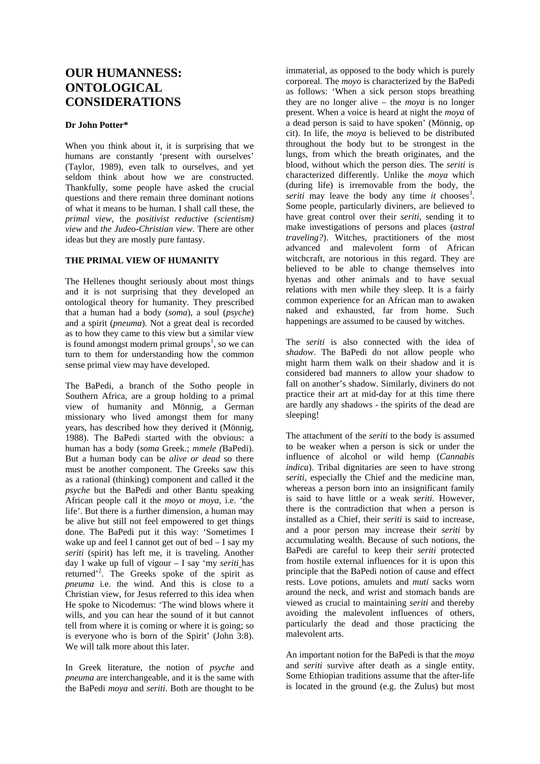# **OUR HUMANNESS: ONTOLOGICAL CONSIDERATIONS**

# **Dr John Potter\***

When you think about it, it is surprising that we humans are constantly 'present with ourselves' (Taylor, 1989), even talk to ourselves, and yet seldom think about how we are constructed. Thankfully, some people have asked the crucial questions and there remain three dominant notions of what it means to be human. I shall call these, the *primal view*, the *positivist reductive (scientism) view* and *the Judeo-Christian view*. There are other ideas but they are mostly pure fantasy.

# **THE PRIMAL VIEW OF HUMANITY**

The Hellenes thought seriously about most things and it is not surprising that they developed an ontological theory for humanity. They prescribed that a human had a body (*soma*), a soul (*psyche*) and a spirit (*pneuma*). Not a great deal is recorded as to how they came to this view but a similar view is found amongst modern primal groups<sup>1</sup>, so we can turn to them for understanding how the common sense primal view may have developed.

The BaPedi, a branch of the Sotho people in Southern Africa, are a group holding to a primal view of humanity and Mönnig, a German missionary who lived amongst them for many years, has described how they derived it (Mönnig, 1988). The BaPedi started with the obvious: a human has a body (*soma* Greek.; *mmele (*BaPedi). But a human body can be *alive or dead* so there must be another component. The Greeks saw this as a rational (thinking) component and called it the *psyche* but the BaPedi and other Bantu speaking African people call it the *moyo* or *moya*, i.e. 'the life'. But there is a further dimension, a human may be alive but still not feel empowered to get things done. The BaPedi put it this way: 'Sometimes I wake up and feel I cannot get out of bed – I say my *seriti* (spirit) has left me, it is traveling. Another day I wake up full of vigour – I say 'my *seriti* has returned'<sup>2</sup> . The Greeks spoke of the spirit as *pneuma* i.e. the wind. And this is close to a Christian view, for Jesus referred to this idea when He spoke to Nicodemus: 'The wind blows where it wills, and you can hear the sound of it but cannot tell from where it is coming or where it is going; so is everyone who is born of the Spirit' (John 3:8). We will talk more about this later.

In Greek literature, the notion of *psyche* and *pneuma* are interchangeable, and it is the same with the BaPedi *moya* and *seriti*. Both are thought to be immaterial, as opposed to the body which is purely corporeal. The *moyo* is characterized by the BaPedi as follows: 'When a sick person stops breathing they are no longer alive – the *moya* is no longer present. When a voice is heard at night the *moya* of a dead person is said to have spoken' (Mönnig, op cit). In life, the *moya* is believed to be distributed throughout the body but to be strongest in the lungs, from which the breath originates, and the blood, without which the person dies. The *seriti* is characterized differently. Unlike the *moya* which (during life) is irremovable from the body, the *seriti* may leave the body any time  $it$  chooses<sup>3</sup>. Some people, particularly diviners, are believed to have great control over their *seriti*, sending it to make investigations of persons and places (*astral traveling?*). Witches, practitioners of the most advanced and malevolent form of African witchcraft, are notorious in this regard. They are believed to be able to change themselves into hyenas and other animals and to have sexual relations with men while they sleep. It is a fairly common experience for an African man to awaken naked and exhausted, far from home. Such happenings are assumed to be caused by witches.

The *seriti* is also connected with the idea of *shadow*. The BaPedi do not allow people who might harm them walk on their shadow and it is considered bad manners to allow your shadow to fall on another's shadow. Similarly, diviners do not practice their art at mid-day for at this time there are hardly any shadows - the spirits of the dead are sleeping!

The attachment of the *seriti* to the body is assumed to be weaker when a person is sick or under the influence of alcohol or wild hemp (*Cannabis indica*). Tribal dignitaries are seen to have strong *seriti*, especially the Chief and the medicine man, whereas a person born into an insignificant family is said to have little or a weak *seriti.* However, there is the contradiction that when a person is installed as a Chief, their *seriti* is said to increase, and a poor person may increase their *seriti* by accumulating wealth. Because of such notions, the BaPedi are careful to keep their *seriti* protected from hostile external influences for it is upon this principle that the BaPedi notion of cause and effect rests. Love potions, amulets and *muti* sacks worn around the neck, and wrist and stomach bands are viewed as crucial to maintaining *seriti* and thereby avoiding the malevolent influences of others, particularly the dead and those practicing the malevolent arts.

An important notion for the BaPedi is that the *moya*  and *seriti* survive after death as a single entity. Some Ethiopian traditions assume that the after-life is located in the ground (e.g. the Zulus) but most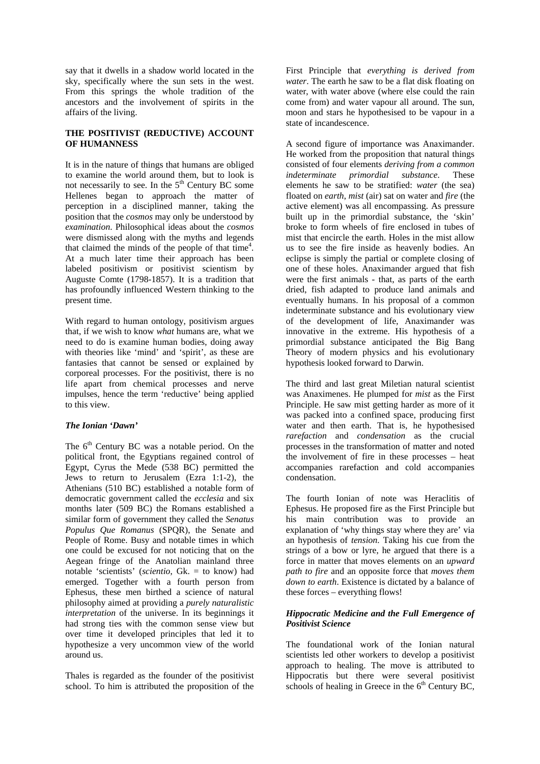say that it dwells in a shadow world located in the sky, specifically where the sun sets in the west. From this springs the whole tradition of the ancestors and the involvement of spirits in the affairs of the living.

# **THE POSITIVIST (REDUCTIVE) ACCOUNT OF HUMANNESS**

It is in the nature of things that humans are obliged to examine the world around them, but to look is not necessarily to see. In the  $5<sup>th</sup>$  Century BC some Hellenes began to approach the matter of perception in a disciplined manner, taking the position that the *cosmos* may only be understood by *examination*. Philosophical ideas about the *cosmos* were dismissed along with the myths and legends that claimed the minds of the people of that time<sup>4</sup>. At a much later time their approach has been labeled positivism or positivist scientism by Auguste Comte (1798-1857). It is a tradition that has profoundly influenced Western thinking to the present time.

With regard to human ontology, positivism argues that, if we wish to know *what* humans are, what we need to do is examine human bodies, doing away with theories like 'mind' and 'spirit', as these are fantasies that cannot be sensed or explained by corporeal processes. For the positivist, there is no life apart from chemical processes and nerve impulses, hence the term 'reductive' being applied to this view.

# *The Ionian 'Dawn'*

The 6<sup>th</sup> Century BC was a notable period. On the political front, the Egyptians regained control of Egypt, Cyrus the Mede (538 BC) permitted the Jews to return to Jerusalem (Ezra 1:1-2), the Athenians (510 BC) established a notable form of democratic government called the *ecclesia* and six months later (509 BC) the Romans established a similar form of government they called the *Senatus Populus Que Romanus* (SPQR), the Senate and People of Rome. Busy and notable times in which one could be excused for not noticing that on the Aegean fringe of the Anatolian mainland three notable 'scientists' (*scientio*, Gk. = to know) had emerged. Together with a fourth person from Ephesus, these men birthed a science of natural philosophy aimed at providing a *purely naturalistic interpretation* of the universe. In its beginnings it had strong ties with the common sense view but over time it developed principles that led it to hypothesize a very uncommon view of the world around us.

Thales is regarded as the founder of the positivist school. To him is attributed the proposition of the First Principle that *everything is derived from water*. The earth he saw to be a flat disk floating on water, with water above (where else could the rain come from) and water vapour all around. The sun, moon and stars he hypothesised to be vapour in a state of incandescence.

A second figure of importance was Anaximander. He worked from the proposition that natural things consisted of four elements *deriving from a common indeterminate primordial substance*. These elements he saw to be stratified: *water* (the sea) floated on *earth*, *mist* (air) sat on water and *fire* (the active element) was all encompassing. As pressure built up in the primordial substance, the 'skin' broke to form wheels of fire enclosed in tubes of mist that encircle the earth. Holes in the mist allow us to see the fire inside as heavenly bodies. An eclipse is simply the partial or complete closing of one of these holes. Anaximander argued that fish were the first animals - that, as parts of the earth dried, fish adapted to produce land animals and eventually humans. In his proposal of a common indeterminate substance and his evolutionary view of the development of life, Anaximander was innovative in the extreme. His hypothesis of a primordial substance anticipated the Big Bang Theory of modern physics and his evolutionary hypothesis looked forward to Darwin.

The third and last great Miletian natural scientist was Anaximenes. He plumped for *mist* as the First Principle. He saw mist getting harder as more of it was packed into a confined space, producing first water and then earth. That is, he hypothesised *rarefaction* and *condensation* as the crucial processes in the transformation of matter and noted the involvement of fire in these processes – heat accompanies rarefaction and cold accompanies condensation.

The fourth Ionian of note was Heraclitis of Ephesus. He proposed fire as the First Principle but his main contribution was to provide an explanation of 'why things stay where they are' via an hypothesis of *tension*. Taking his cue from the strings of a bow or lyre, he argued that there is a force in matter that moves elements on an *upward path to fire* and an opposite force that *moves them down to earth*. Existence is dictated by a balance of these forces – everything flows!

## *Hippocratic Medicine and the Full Emergence of Positivist Science*

The foundational work of the Ionian natural scientists led other workers to develop a positivist approach to healing. The move is attributed to Hippocratis but there were several positivist schools of healing in Greece in the  $6<sup>th</sup>$  Century BC,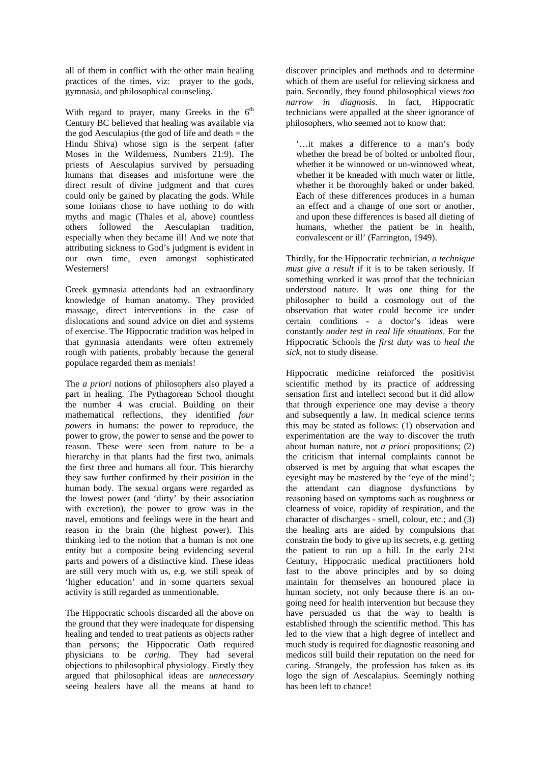all of them in conflict with the other main healing practices of the times, viz: prayer to the gods, gymnasia, and philosophical counseling.

With regard to prayer, many Greeks in the  $6<sup>th</sup>$ Century BC believed that healing was available via the god Aesculapius (the god of life and death  $=$  the Hindu Shiva) whose sign is the serpent (after Moses in the Wilderness, Numbers 21:9). The priests of Aesculapius survived by persuading humans that diseases and misfortune were the direct result of divine judgment and that cures could only be gained by placating the gods. While some Ionians chose to have nothing to do with myths and magic (Thales et al, above) countless others followed the Aesculapian tradition, especially when they became ill! And we note that attributing sickness to God's judgment is evident in our own time, even amongst sophisticated Westerners!

Greek gymnasia attendants had an extraordinary knowledge of human anatomy. They provided massage, direct interventions in the case of dislocations and sound advice on diet and systems of exercise. The Hippocratic tradition was helped in that gymnasia attendants were often extremely rough with patients, probably because the general populace regarded them as menials!

The *a priori* notions of philosophers also played a part in healing. The Pythagorean School thought the number 4 was crucial. Building on their mathematical reflections, they identified *four powers* in humans: the power to reproduce, the power to grow, the power to sense and the power to reason. These were seen from nature to be a hierarchy in that plants had the first two, animals the first three and humans all four. This hierarchy they saw further confirmed by their *position* in the human body. The sexual organs were regarded as the lowest power (and 'dirty' by their association with excretion), the power to grow was in the navel, emotions and feelings were in the heart and reason in the brain (the highest power). This thinking led to the notion that a human is not one entity but a composite being evidencing several parts and powers of a distinctive kind. These ideas are still very much with us, e.g. we still speak of 'higher education' and in some quarters sexual activity is still regarded as unmentionable.

The Hippocratic schools discarded all the above on the ground that they were inadequate for dispensing healing and tended to treat patients as objects rather than persons; the Hippocratic Oath required physicians to be *caring*. They had several objections to philosophical physiology. Firstly they argued that philosophical ideas are *unnecessary* seeing healers have all the means at hand to

discover principles and methods and to determine which of them are useful for relieving sickness and pain. Secondly, they found philosophical views *too narrow in diagnosis*. In fact, Hippocratic technicians were appalled at the sheer ignorance of philosophers, who seemed not to know that:

'…it makes a difference to a man's body whether the bread be of bolted or unbolted flour, whether it be winnowed or un-winnowed wheat, whether it be kneaded with much water or little, whether it be thoroughly baked or under baked. Each of these differences produces in a human an effect and a change of one sort or another, and upon these differences is based all dieting of humans, whether the patient be in health, convalescent or ill' (Farrington, 1949).

Thirdly, for the Hippocratic technician, *a technique must give a result* if it is to be taken seriously. If something worked it was proof that the technician understood nature. It was one thing for the philosopher to build a cosmology out of the observation that water could become ice under certain conditions - a doctor's ideas were constantly *under test in real life situations*. For the Hippocratic Schools the *first duty* was to *heal the sick*, not to study disease.

Hippocratic medicine reinforced the positivist scientific method by its practice of addressing sensation first and intellect second but it did allow that through experience one may devise a theory and subsequently a law. In medical science terms this may be stated as follows: (1) observation and experimentation are the way to discover the truth about human nature, not *a priori* propositions; (2) the criticism that internal complaints cannot be observed is met by arguing that what escapes the eyesight may be mastered by the 'eye of the mind'; the attendant can diagnose dysfunctions by reasoning based on symptoms such as roughness or clearness of voice, rapidity of respiration, and the character of discharges - smell, colour, etc.; and (3) the healing arts are aided by compulsions that constrain the body to give up its secrets, e.g. getting the patient to run up a hill. In the early 21st Century, Hippocratic medical practitioners hold fast to the above principles and by so doing maintain for themselves an honoured place in human society, not only because there is an ongoing need for health intervention but because they have persuaded us that the way to health is established through the scientific method. This has led to the view that a high degree of intellect and much study is required for diagnostic reasoning and medicos still build their reputation on the need for caring. Strangely, the profession has taken as its logo the sign of Aescalapius. Seemingly nothing has been left to chance!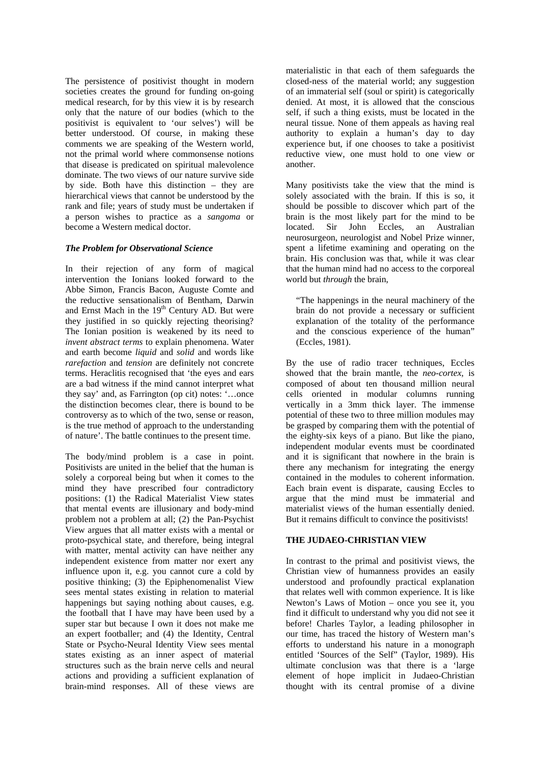The persistence of positivist thought in modern societies creates the ground for funding on-going medical research, for by this view it is by research only that the nature of our bodies (which to the positivist is equivalent to 'our selves') will be better understood. Of course, in making these comments we are speaking of the Western world, not the primal world where commonsense notions that disease is predicated on spiritual malevolence dominate. The two views of our nature survive side by side. Both have this distinction – they are hierarchical views that cannot be understood by the rank and file; years of study must be undertaken if a person wishes to practice as a *sangoma* or become a Western medical doctor.

#### *The Problem for Observational Science*

In their rejection of any form of magical intervention the Ionians looked forward to the Abbe Simon, Francis Bacon, Auguste Comte and the reductive sensationalism of Bentham, Darwin and Ernst Mach in the 19<sup>th</sup> Century AD. But were they justified in so quickly rejecting theorising? The Ionian position is weakened by its need to *invent abstract terms* to explain phenomena. Water and earth become *liquid* and *solid* and words like *rarefaction* and *tension* are definitely not concrete terms. Heraclitis recognised that 'the eyes and ears are a bad witness if the mind cannot interpret what they say' and, as Farrington (op cit) notes: '…once the distinction becomes clear, there is bound to be controversy as to which of the two, sense or reason, is the true method of approach to the understanding of nature'. The battle continues to the present time.

The body/mind problem is a case in point. Positivists are united in the belief that the human is solely a corporeal being but when it comes to the mind they have prescribed four contradictory positions: (1) the Radical Materialist View states that mental events are illusionary and body-mind problem not a problem at all; (2) the Pan-Psychist View argues that all matter exists with a mental or proto-psychical state, and therefore, being integral with matter, mental activity can have neither any independent existence from matter nor exert any influence upon it, e.g. you cannot cure a cold by positive thinking; (3) the Epiphenomenalist View sees mental states existing in relation to material happenings but saying nothing about causes, e.g. the football that I have may have been used by a super star but because I own it does not make me an expert footballer; and (4) the Identity, Central State or Psycho-Neural Identity View sees mental states existing as an inner aspect of material structures such as the brain nerve cells and neural actions and providing a sufficient explanation of brain-mind responses. All of these views are materialistic in that each of them safeguards the closed-ness of the material world; any suggestion of an immaterial self (soul or spirit) is categorically denied. At most, it is allowed that the conscious self, if such a thing exists, must be located in the neural tissue. None of them appeals as having real authority to explain a human's day to day experience but, if one chooses to take a positivist reductive view, one must hold to one view or another.

Many positivists take the view that the mind is solely associated with the brain. If this is so, it should be possible to discover which part of the brain is the most likely part for the mind to be located. Sir John Eccles, an Australian neurosurgeon, neurologist and Nobel Prize winner, spent a lifetime examining and operating on the brain. His conclusion was that, while it was clear that the human mind had no access to the corporeal world but *through* the brain,

"The happenings in the neural machinery of the brain do not provide a necessary or sufficient explanation of the totality of the performance and the conscious experience of the human" (Eccles, 1981).

By the use of radio tracer techniques, Eccles showed that the brain mantle, the *neo-cortex*, is composed of about ten thousand million neural cells oriented in modular columns running vertically in a 3mm thick layer. The immense potential of these two to three million modules may be grasped by comparing them with the potential of the eighty-six keys of a piano. But like the piano, independent modular events must be coordinated and it is significant that nowhere in the brain is there any mechanism for integrating the energy contained in the modules to coherent information. Each brain event is disparate, causing Eccles to argue that the mind must be immaterial and materialist views of the human essentially denied. But it remains difficult to convince the positivists!

# **THE JUDAEO-CHRISTIAN VIEW**

In contrast to the primal and positivist views, the Christian view of humanness provides an easily understood and profoundly practical explanation that relates well with common experience. It is like Newton's Laws of Motion – once you see it, you find it difficult to understand why you did not see it before! Charles Taylor, a leading philosopher in our time, has traced the history of Western man's efforts to understand his nature in a monograph entitled 'Sources of the Self" (Taylor, 1989). His ultimate conclusion was that there is a 'large element of hope implicit in Judaeo-Christian thought with its central promise of a divine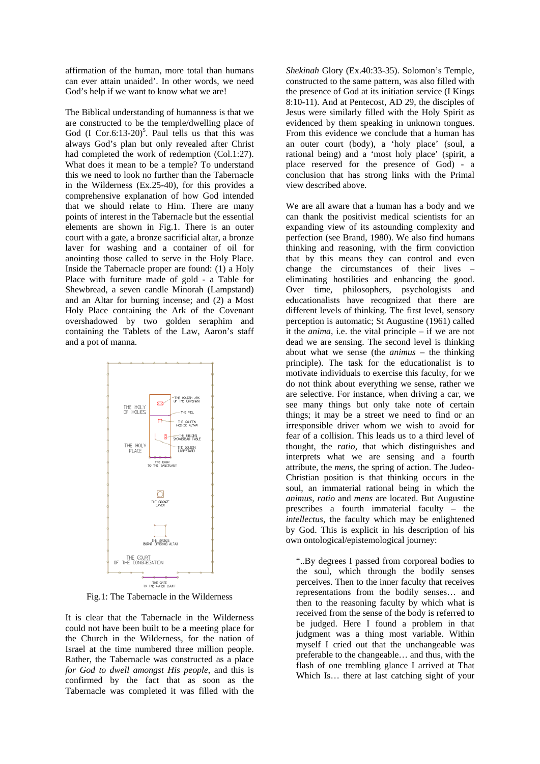affirmation of the human, more total than humans can ever attain unaided'. In other words, we need God's help if we want to know what we are!

The Biblical understanding of humanness is that we are constructed to be the temple/dwelling place of God  $(I \text{ Cor.6:13-20})^5$ . Paul tells us that this was always God's plan but only revealed after Christ had completed the work of redemption (Col.1:27). What does it mean to be a temple? To understand this we need to look no further than the Tabernacle in the Wilderness (Ex.25-40), for this provides a comprehensive explanation of how God intended that we should relate to Him. There are many points of interest in the Tabernacle but the essential elements are shown in Fig.1. There is an outer court with a gate, a bronze sacrificial altar, a bronze laver for washing and a container of oil for anointing those called to serve in the Holy Place. Inside the Tabernacle proper are found: (1) a Holy Place with furniture made of gold - a Table for Shewbread, a seven candle Minorah (Lampstand) and an Altar for burning incense; and (2) a Most Holy Place containing the Ark of the Covenant overshadowed by two golden seraphim and containing the Tablets of the Law, Aaron's staff and a pot of manna.



Fig.1: The Tabernacle in the Wilderness

It is clear that the Tabernacle in the Wilderness could not have been built to be a meeting place for the Church in the Wilderness, for the nation of Israel at the time numbered three million people. Rather, the Tabernacle was constructed as a place *for God to dwell amongst His people*, and this is confirmed by the fact that as soon as the Tabernacle was completed it was filled with the *Shekinah* Glory (Ex.40:33-35). Solomon's Temple, constructed to the same pattern, was also filled with the presence of God at its initiation service (I Kings 8:10-11). And at Pentecost, AD 29, the disciples of Jesus were similarly filled with the Holy Spirit as evidenced by them speaking in unknown tongues. From this evidence we conclude that a human has an outer court (body), a 'holy place' (soul, a rational being) and a 'most holy place' (spirit, a place reserved for the presence of God) - a conclusion that has strong links with the Primal view described above.

We are all aware that a human has a body and we can thank the positivist medical scientists for an expanding view of its astounding complexity and perfection (see Brand, 1980). We also find humans thinking and reasoning, with the firm conviction that by this means they can control and even change the circumstances of their lives – eliminating hostilities and enhancing the good. Over time, philosophers, psychologists and educationalists have recognized that there are different levels of thinking. The first level, sensory perception is automatic; St Augustine (1961) called it the *anima*, i.e. the vital principle – if we are not dead we are sensing. The second level is thinking about what we sense (the *animus* – the thinking principle). The task for the educationalist is to motivate individuals to exercise this faculty, for we do not think about everything we sense, rather we are selective. For instance, when driving a car, we see many things but only take note of certain things; it may be a street we need to find or an irresponsible driver whom we wish to avoid for fear of a collision. This leads us to a third level of thought, the *ratio*, that which distinguishes and interprets what we are sensing and a fourth attribute, the *mens*, the spring of action. The Judeo-Christian position is that thinking occurs in the soul, an immaterial rational being in which the *animus*, *ratio* and *mens* are located. But Augustine prescribes a fourth immaterial faculty – the *intellectus*, the faculty which may be enlightened by God. This is explicit in his description of his own ontological/epistemological journey:

"..By degrees I passed from corporeal bodies to the soul, which through the bodily senses perceives. Then to the inner faculty that receives representations from the bodily senses… and then to the reasoning faculty by which what is received from the sense of the body is referred to be judged. Here I found a problem in that judgment was a thing most variable. Within myself I cried out that the unchangeable was preferable to the changeable… and thus, with the flash of one trembling glance I arrived at That Which Is… there at last catching sight of your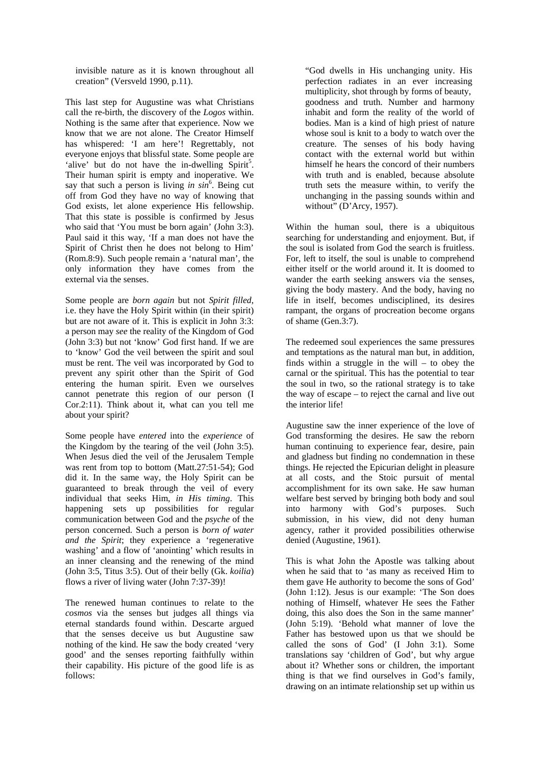invisible nature as it is known throughout all creation" (Versveld 1990, p.11).

This last step for Augustine was what Christians call the re-birth, the discovery of the *Logos* within. Nothing is the same after that experience. Now we know that we are not alone. The Creator Himself has whispered: 'I am here'! Regrettably, not everyone enjoys that blissful state. Some people are 'alive' but do not have the in-dwelling  $Spirt<sup>5</sup>$ . Their human spirit is empty and inoperative. We say that such a person is living *in sin*<sup>6</sup> . Being cut off from God they have no way of knowing that God exists, let alone experience His fellowship. That this state is possible is confirmed by Jesus who said that 'You must be born again' (John 3:3). Paul said it this way, 'If a man does not have the Spirit of Christ then he does not belong to Him' (Rom.8:9). Such people remain a 'natural man', the only information they have comes from the external via the senses.

Some people are *born again* but not *Spirit filled*, i.e. they have the Holy Spirit within (in their spirit) but are not aware of it. This is explicit in John 3:3: a person may *see* the reality of the Kingdom of God (John 3:3) but not 'know' God first hand. If we are to 'know' God the veil between the spirit and soul must be rent. The veil was incorporated by God to prevent any spirit other than the Spirit of God entering the human spirit. Even we ourselves cannot penetrate this region of our person (I Cor.2:11). Think about it, what can you tell me about your spirit?

Some people have *entered* into the *experience* of the Kingdom by the tearing of the veil (John 3:5). When Jesus died the veil of the Jerusalem Temple was rent from top to bottom (Matt.27:51-54); God did it. In the same way, the Holy Spirit can be guaranteed to break through the veil of every individual that seeks Him, *in His timing*. This happening sets up possibilities for regular communication between God and the *psyche* of the person concerned. Such a person is *born of water and the Spirit*; they experience a 'regenerative washing' and a flow of 'anointing' which results in an inner cleansing and the renewing of the mind (John 3:5, Titus 3:5). Out of their belly (Gk. *koilia*) flows a river of living water (John 7:37-39)!

The renewed human continues to relate to the *cosmos* via the senses but judges all things via eternal standards found within. Descarte argued that the senses deceive us but Augustine saw nothing of the kind. He saw the body created 'very good' and the senses reporting faithfully within their capability. His picture of the good life is as follows:

"God dwells in His unchanging unity. His perfection radiates in an ever increasing multiplicity, shot through by forms of beauty, goodness and truth. Number and harmony inhabit and form the reality of the world of bodies. Man is a kind of high priest of nature whose soul is knit to a body to watch over the creature. The senses of his body having contact with the external world but within himself he hears the concord of their numbers with truth and is enabled, because absolute truth sets the measure within, to verify the unchanging in the passing sounds within and without" (D'Arcy, 1957).

Within the human soul, there is a ubiquitous searching for understanding and enjoyment. But, if the soul is isolated from God the search is fruitless. For, left to itself, the soul is unable to comprehend either itself or the world around it. It is doomed to wander the earth seeking answers via the senses, giving the body mastery. And the body, having no life in itself, becomes undisciplined, its desires rampant, the organs of procreation become organs of shame (Gen.3:7).

The redeemed soul experiences the same pressures and temptations as the natural man but, in addition, finds within a struggle in the will – to obey the carnal or the spiritual. This has the potential to tear the soul in two, so the rational strategy is to take the way of escape – to reject the carnal and live out the interior life!

Augustine saw the inner experience of the love of God transforming the desires. He saw the reborn human continuing to experience fear, desire, pain and gladness but finding no condemnation in these things. He rejected the Epicurian delight in pleasure at all costs, and the Stoic pursuit of mental accomplishment for its own sake. He saw human welfare best served by bringing both body and soul into harmony with God's purposes. Such submission, in his view, did not deny human agency, rather it provided possibilities otherwise denied (Augustine, 1961).

This is what John the Apostle was talking about when he said that to 'as many as received Him to them gave He authority to become the sons of God' (John 1:12). Jesus is our example: 'The Son does nothing of Himself, whatever He sees the Father doing, this also does the Son in the same manner' (John 5:19). 'Behold what manner of love the Father has bestowed upon us that we should be called the sons of God' (I John 3:1). Some translations say 'children of God', but why argue about it? Whether sons or children, the important thing is that we find ourselves in God's family, drawing on an intimate relationship set up within us